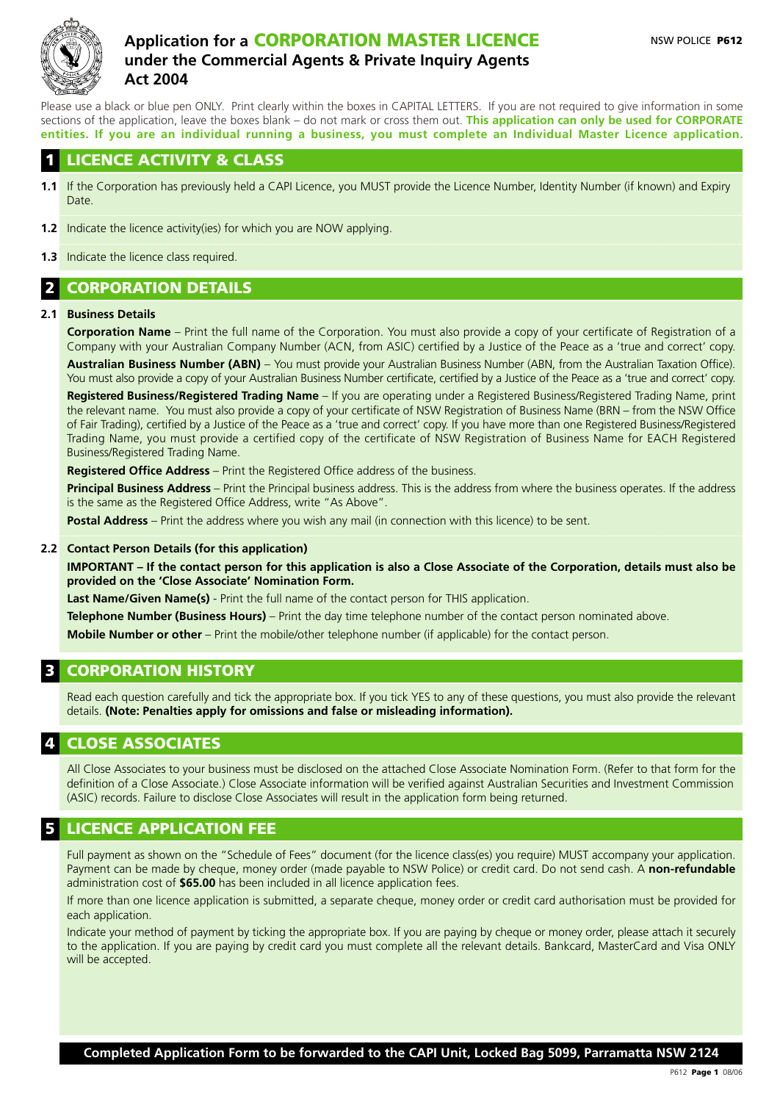

# **Application for a** CORPORATION MASTER LICENCE **under the Commercial Agents & Private Inquiry Agents Act 2004**

Please use a black or blue pen ONLY. Print clearly within the boxes in CAPITAL LETTERS. If you are not required to give information in some sections of the application, leave the boxes blank – do not mark or cross them out. **This application can only be used for CORPORATE entities. If you are an individual running a business, you must complete an Individual Master Licence application.**

### **LICENCE ACTIVITY & CLASS**

- **1.1** If the Corporation has previously held a CAPI Licence, you MUST provide the Licence Number, Identity Number (if known) and Expiry Date.
- **1.2** Indicate the licence activity(ies) for which you are NOW applying.  $\Box$
- **1.3** Indicate the licence class required.

# 2 CORPORATION DETAILS

#### **2.1 Business Details**

**Corporation Name** – Print the full name of the Corporation. You must also provide a copy of your certificate of Registration of a Company with your Australian Company Number (ACN, from ASIC) certified by a Justice of the Peace as a 'true and correct' copy. **Australian Business Number (ABN)** – You must provide your Australian Business Number (ABN, from the Australian Taxation Office). You must also provide a copy of your Australian Business Number certificate, certified by a Justice of the Peace as a 'true and correct' copy.

**Registered Business/Registered Trading Name** – If you are operating under a Registered Business/Registered Trading Name, print the relevant name. You must also provide a copy of your certificate of NSW Registration of Business Name (BRN – from the NSW Office of Fair Trading), certified by a Justice of the Peace as a 'true and correct' copy. If you have more than one Registered Business/Registered Trading Name, you must provide a certified copy of the certificate of NSW Registration of Business Name for EACH Registered Business/Registered Trading Name.

**Registered Office Address** – Print the Registered Office address of the business.

**Principal Business Address** – Print the Principal business address. This is the address from where the business operates. If the address is the same as the Registered Office Address, write "As Above".

**Postal Address** – Print the address where you wish any mail (in connection with this licence) to be sent.  $\_$  , and the state of the state of the state of the state of the state of the state of the state of the state of the state of the state of the state of the state of the state of the state of the state of the state of the

#### **2.2 Contact Person Details (for this application)**

**IMPORTANT – If the contact person for this application is also a Close Associate of the Corporation, details must also be provided on the 'Close Associate' Nomination Form.**

**Last Name/Given Name(s)** - Print the full name of the contact person for THIS application.

**Telephone Number (Business Hours)** – Print the day time telephone number of the contact person nominated above. **Mobile Number or other** – Print the mobile/other telephone number (if applicable) for the contact person.

## **CORPORATION HISTORY**

Read each question carefully and tick the appropriate box. If you tick YES to any of these questions, you must also provide the relevant details. **(Note: Penalties apply for omissions and false or misleading information).**

#### **CLOSE ASSOCIATES**

All Close Associates to your business must be disclosed on the attached Close Associate Nomination Form. (Refer to that form for the definition of a Close Associate.) Close Associate information will be verified against Australian Securities and Investment Commission (ASIC) records. Failure to disclose Close Associates will result in the application form being returned.

#### **LICENCE APPLICATION FEE**

Full payment as shown on the "Schedule of Fees" document (for the licence class(es) you require) MUST accompany your application. Payment can be made by cheque, money order (made payable to NSW Police) or credit card. Do not send cash. A **non-refundable** administration cost of **\$65.00** has been included in all licence application fees.

If more than one licence application is submitted, a separate cheque, money order or credit card authorisation must be provided for each application.

Indicate your method of payment by ticking the appropriate box. If you are paying by cheque or money order, please attach it securely to the application. If you are paying by credit card you must complete all the relevant details. Bankcard, MasterCard and Visa ONLY will be accepted.

**Completed Application Form to be forwarded to the CAPI Unit, Locked Bag 5099, Parramatta NSW 2124**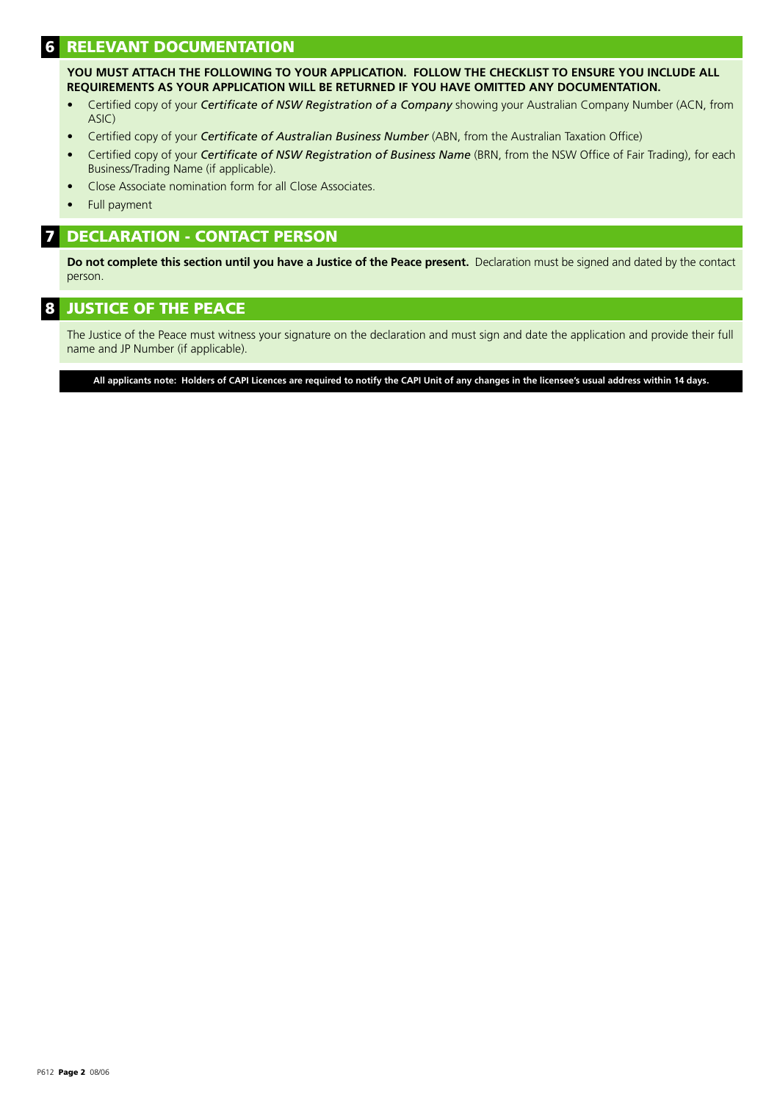# **RELEVANT DOCUMENTATION**

**YOU MUST ATTACH THE FOLLOWING TO YOUR APPLICATION. FOLLOW THE CHECKLIST TO ENSURE YOU INCLUDE ALL REQUIREMENTS AS YOUR APPLICATION WILL BE RETURNED IF YOU HAVE OMITTED ANY DOCUMENTATION.**

- Certified copy of your *Certificate of NSW Registration of a Company* showing your Australian Company Number (ACN, from ASIC)
- Certified copy of your *Certificate of Australian Business Number* (ABN, from the Australian Taxation Office)
- Certified copy of your *Certificate of NSW Registration of Business Name* (BRN, from the NSW Office of Fair Trading), for each Business/Trading Name (if applicable).
- Close Associate nomination form for all Close Associates.
- Full payment

#### 7 DECLARATION - CONTACT PERSON

**Do not complete this section until you have a Justice of the Peace present.** Declaration must be signed and dated by the contact person.

### 8 JUSTICE OF THE PEACE

The Justice of the Peace must witness your signature on the declaration and must sign and date the application and provide their full name and JP Number (if applicable).

**All applicants note: Holders of CAPI Licences are required to notify the CAPI Unit of any changes in the licensee's usual address within 14 days.**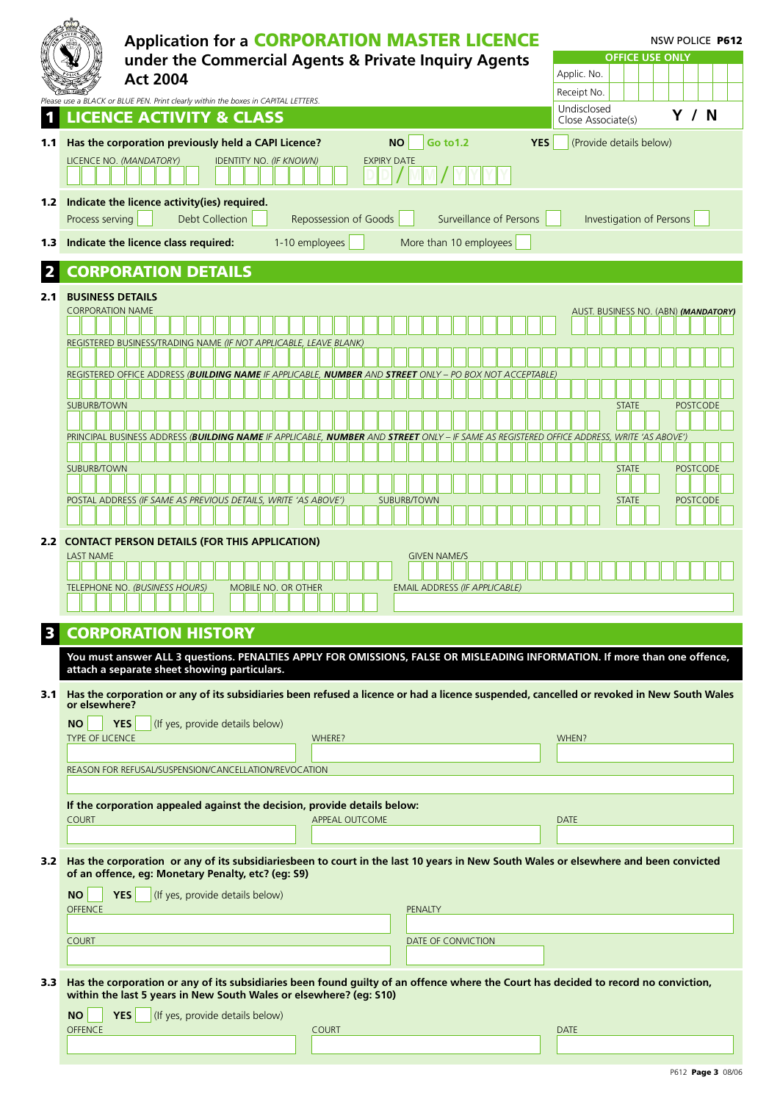|                  | <b>Application for a CORPORATION MASTER LICENCE</b>                                                                                                                                           | <b>NSW POLICE P612</b> |                                      |                                            |
|------------------|-----------------------------------------------------------------------------------------------------------------------------------------------------------------------------------------------|------------------------|--------------------------------------|--------------------------------------------|
|                  | under the Commercial Agents & Private Inquiry Agents                                                                                                                                          |                        |                                      | <b>OFFICE USE ONLY</b><br>Applic. No.      |
|                  | <b>Act 2004</b>                                                                                                                                                                               |                        |                                      | Receipt No.                                |
|                  | Please use a BLACK or BLUE PEN. Print clearly within the boxes in CAPITAL LETTERS.<br><b>LICENCE ACTIVITY &amp; CLASS</b>                                                                     |                        |                                      | Undisclosed<br>Y / N<br>Close Associate(s) |
| 1.1              | Has the corporation previously held a CAPI Licence?                                                                                                                                           | <b>NO</b>              | <b>YES</b><br>Go to 1.2              | (Provide details below)                    |
|                  | LICENCE NO. (MANDATORY)<br><b>IDENTITY NO. (IF KNOWN)</b>                                                                                                                                     | <b>EXPIRY DATE</b>     |                                      |                                            |
|                  |                                                                                                                                                                                               |                        |                                      |                                            |
|                  | 1.2 Indicate the licence activity(ies) required.                                                                                                                                              |                        |                                      |                                            |
|                  | Process serving<br><b>Debt Collection</b>                                                                                                                                                     | Repossession of Goods  | Surveillance of Persons              | <b>Investigation of Persons</b>            |
| 1.3              | Indicate the licence class required:                                                                                                                                                          | 1-10 employees         | More than 10 employees               |                                            |
|                  | <b>CORPORATION DETAILS</b>                                                                                                                                                                    |                        |                                      |                                            |
| 2.1              | <b>BUSINESS DETAILS</b>                                                                                                                                                                       |                        |                                      |                                            |
|                  | <b>CORPORATION NAME</b>                                                                                                                                                                       |                        |                                      | AUST. BUSINESS NO. (ABN) (MANDATORY)       |
|                  | REGISTERED BUSINESS/TRADING NAME (IF NOT APPLICABLE, LEAVE BLANK)                                                                                                                             |                        |                                      |                                            |
|                  |                                                                                                                                                                                               |                        |                                      |                                            |
|                  | registered office address ( <b>Building name</b> if applicable, <b>number</b> and <b>street</b> only – po box not acceptable)                                                                 |                        |                                      |                                            |
|                  | <b>SUBURB/TOWN</b>                                                                                                                                                                            |                        |                                      | <b>POSTCODE</b><br><b>STATE</b>            |
|                  | PRINCIPAL BUSINESS ADDRESS ( <b>BUILDING NAME</b> IF APPLICABLE, <b>NUMBER</b> AND <b>STREET</b> ONLY – IF SAME AS REGISTERED OFFICE ADDRESS, WRITE 'AS ABOVE')                               |                        |                                      |                                            |
|                  |                                                                                                                                                                                               |                        |                                      |                                            |
|                  | <b>SUBURB/TOWN</b>                                                                                                                                                                            |                        |                                      | <b>POSTCODE</b><br><b>STATE</b>            |
|                  | POSTAL ADDRESS (IF SAME AS PREVIOUS DETAILS, WRITE 'AS ABOVE')                                                                                                                                |                        | <b>SUBURB/TOWN</b>                   | <b>POSTCODE</b><br><b>STATE</b>            |
|                  |                                                                                                                                                                                               |                        |                                      |                                            |
|                  | 2.2 CONTACT PERSON DETAILS (FOR THIS APPLICATION)                                                                                                                                             |                        |                                      |                                            |
|                  | <b>LAST NAME</b>                                                                                                                                                                              |                        | <b>GIVEN NAME/S</b>                  |                                            |
|                  | TELEPHONE NO. (BUSINESS HOURS)<br>MOBILE NO. OR OTHER                                                                                                                                         |                        | <b>EMAIL ADDRESS (IF APPLICABLE)</b> |                                            |
|                  |                                                                                                                                                                                               |                        |                                      |                                            |
|                  | <b>CORPORATION HISTORY</b>                                                                                                                                                                    |                        |                                      |                                            |
|                  | You must answer ALL 3 questions. PENALTIES APPLY FOR OMISSIONS, FALSE OR MISLEADING INFORMATION. If more than one offence,<br>attach a separate sheet showing particulars.                    |                        |                                      |                                            |
| 3.1 <sub>1</sub> | Has the corporation or any of its subsidiaries been refused a licence or had a licence suspended, cancelled or revoked in New South Wales                                                     |                        |                                      |                                            |
|                  | or elsewhere?                                                                                                                                                                                 |                        |                                      |                                            |
|                  | <b>YES</b><br>(If yes, provide details below)<br><b>NO</b><br>TYPE OF LICENCE                                                                                                                 | WHERE?                 |                                      | WHEN?                                      |
|                  |                                                                                                                                                                                               |                        |                                      |                                            |
|                  | REASON FOR REFUSAL/SUSPENSION/CANCELLATION/REVOCATION                                                                                                                                         |                        |                                      |                                            |
|                  | If the corporation appealed against the decision, provide details below:                                                                                                                      |                        |                                      |                                            |
|                  | <b>COURT</b>                                                                                                                                                                                  | <b>APPEAL OUTCOME</b>  |                                      | <b>DATE</b>                                |
|                  |                                                                                                                                                                                               |                        |                                      |                                            |
|                  | 3.2 Has the corporation or any of its subsidiariesbeen to court in the last 10 years in New South Wales or elsewhere and been convicted<br>of an offence, eg: Monetary Penalty, etc? (eg: S9) |                        |                                      |                                            |
|                  | YES<br>(If yes, provide details below)<br><b>NO</b>                                                                                                                                           |                        |                                      |                                            |
|                  | <b>OFFENCE</b>                                                                                                                                                                                |                        | <b>PENALTY</b>                       |                                            |
|                  | <b>COURT</b>                                                                                                                                                                                  |                        | DATE OF CONVICTION                   |                                            |
|                  |                                                                                                                                                                                               |                        |                                      |                                            |
| 3.3              | Has the corporation or any of its subsidiaries been found guilty of an offence where the Court has decided to record no conviction,                                                           |                        |                                      |                                            |
|                  | within the last 5 years in New South Wales or elsewhere? (eg: S10)                                                                                                                            |                        |                                      |                                            |
|                  | <b>YES</b><br>(If yes, provide details below)<br><b>NO</b><br><b>OFFENCE</b>                                                                                                                  | <b>COURT</b>           |                                      | <b>DATE</b>                                |
|                  |                                                                                                                                                                                               |                        |                                      |                                            |

| P612 Page 3 08/06 |  |
|-------------------|--|
|                   |  |